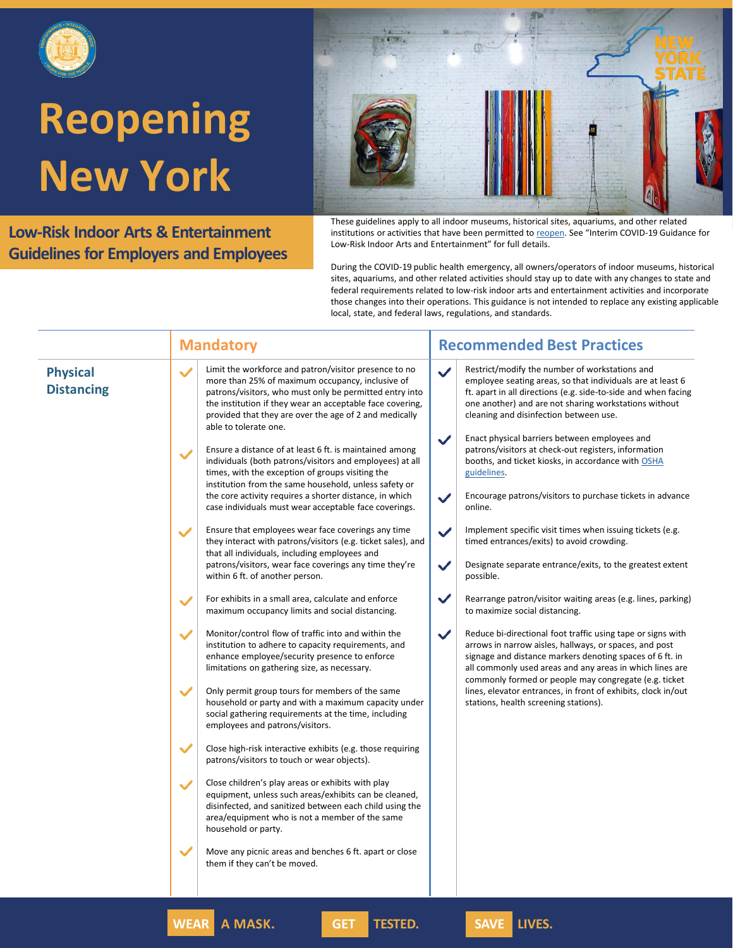

**Low-Risk Indoor Arts & Entertainment Guidelines for Employers and Employees**

These guidelines apply to all indoor museums, historical sites, aquariums, and other related institutions or activities that have been permitted to [reopen](https://forward.ny.gov/regional-monitoring-dashboard). See "Interim COVID-19 Guidance for Low-Risk Indoor Arts and Entertainment" for full details.

During the COVID-19 public health emergency, all owners/operators of indoor museums, historical sites, aquariums, and other related activities should stay up to date with any changes to state and federal requirements related to low-risk indoor arts and entertainment activities and incorporate those changes into their operations. This guidance is not intended to replace any existing applicable local, state, and federal laws, regulations, and standards.

|                                      | <b>Mandatory</b>                                                                                                                                                                                                                                                                                                                                                                                                                                                                                                                                                                                                                                                                                             | <b>Recommended Best Practices</b>                                                                                                                                                                                                                                                                                                                                                                                                                                                                                                                                                       |  |
|--------------------------------------|--------------------------------------------------------------------------------------------------------------------------------------------------------------------------------------------------------------------------------------------------------------------------------------------------------------------------------------------------------------------------------------------------------------------------------------------------------------------------------------------------------------------------------------------------------------------------------------------------------------------------------------------------------------------------------------------------------------|-----------------------------------------------------------------------------------------------------------------------------------------------------------------------------------------------------------------------------------------------------------------------------------------------------------------------------------------------------------------------------------------------------------------------------------------------------------------------------------------------------------------------------------------------------------------------------------------|--|
| <b>Physical</b><br><b>Distancing</b> | Limit the workforce and patron/visitor presence to no<br>$\checkmark$<br>more than 25% of maximum occupancy, inclusive of<br>patrons/visitors, who must only be permitted entry into<br>the institution if they wear an acceptable face covering,<br>provided that they are over the age of 2 and medically<br>able to tolerate one.<br>Ensure a distance of at least 6 ft. is maintained among<br>$\checkmark$<br>individuals (both patrons/visitors and employees) at all<br>times, with the exception of groups visiting the<br>institution from the same household, unless safety or<br>the core activity requires a shorter distance, in which<br>case individuals must wear acceptable face coverings. | Restrict/modify the number of workstations and<br>$\checkmark$<br>employee seating areas, so that individuals are at least 6<br>ft. apart in all directions (e.g. side-to-side and when facing<br>one another) and are not sharing workstations without<br>cleaning and disinfection between use.<br>Enact physical barriers between employees and<br>$\checkmark$<br>patrons/visitors at check-out registers, information<br>booths, and ticket kiosks, in accordance with OSHA<br>guidelines.<br>Encourage patrons/visitors to purchase tickets in advance<br>$\checkmark$<br>online. |  |
|                                      | Ensure that employees wear face coverings any time<br>✓<br>they interact with patrons/visitors (e.g. ticket sales), and<br>that all individuals, including employees and<br>patrons/visitors, wear face coverings any time they're<br>within 6 ft. of another person.                                                                                                                                                                                                                                                                                                                                                                                                                                        | Implement specific visit times when issuing tickets (e.g.<br>$\checkmark$<br>timed entrances/exits) to avoid crowding.<br>$\checkmark$<br>Designate separate entrance/exits, to the greatest extent<br>possible.                                                                                                                                                                                                                                                                                                                                                                        |  |
|                                      | For exhibits in a small area, calculate and enforce<br>$\checkmark$<br>maximum occupancy limits and social distancing.                                                                                                                                                                                                                                                                                                                                                                                                                                                                                                                                                                                       | $\checkmark$<br>Rearrange patron/visitor waiting areas (e.g. lines, parking)<br>to maximize social distancing.                                                                                                                                                                                                                                                                                                                                                                                                                                                                          |  |
|                                      | Monitor/control flow of traffic into and within the<br>$\checkmark$<br>institution to adhere to capacity requirements, and<br>enhance employee/security presence to enforce<br>limitations on gathering size, as necessary.                                                                                                                                                                                                                                                                                                                                                                                                                                                                                  | $\checkmark$<br>Reduce bi-directional foot traffic using tape or signs with<br>arrows in narrow aisles, hallways, or spaces, and post<br>signage and distance markers denoting spaces of 6 ft. in<br>all commonly used areas and any areas in which lines are<br>commonly formed or people may congregate (e.g. ticket                                                                                                                                                                                                                                                                  |  |
|                                      | Only permit group tours for members of the same<br>$\checkmark$<br>household or party and with a maximum capacity under<br>social gathering requirements at the time, including<br>employees and patrons/visitors.                                                                                                                                                                                                                                                                                                                                                                                                                                                                                           | lines, elevator entrances, in front of exhibits, clock in/out<br>stations, health screening stations).                                                                                                                                                                                                                                                                                                                                                                                                                                                                                  |  |
|                                      | $\checkmark$<br>Close high-risk interactive exhibits (e.g. those requiring<br>patrons/visitors to touch or wear objects).                                                                                                                                                                                                                                                                                                                                                                                                                                                                                                                                                                                    |                                                                                                                                                                                                                                                                                                                                                                                                                                                                                                                                                                                         |  |
|                                      | Close children's play areas or exhibits with play<br>$\checkmark$<br>equipment, unless such areas/exhibits can be cleaned,<br>disinfected, and sanitized between each child using the<br>area/equipment who is not a member of the same<br>household or party.                                                                                                                                                                                                                                                                                                                                                                                                                                               |                                                                                                                                                                                                                                                                                                                                                                                                                                                                                                                                                                                         |  |
|                                      | $\checkmark$<br>Move any picnic areas and benches 6 ft. apart or close<br>them if they can't be moved.                                                                                                                                                                                                                                                                                                                                                                                                                                                                                                                                                                                                       |                                                                                                                                                                                                                                                                                                                                                                                                                                                                                                                                                                                         |  |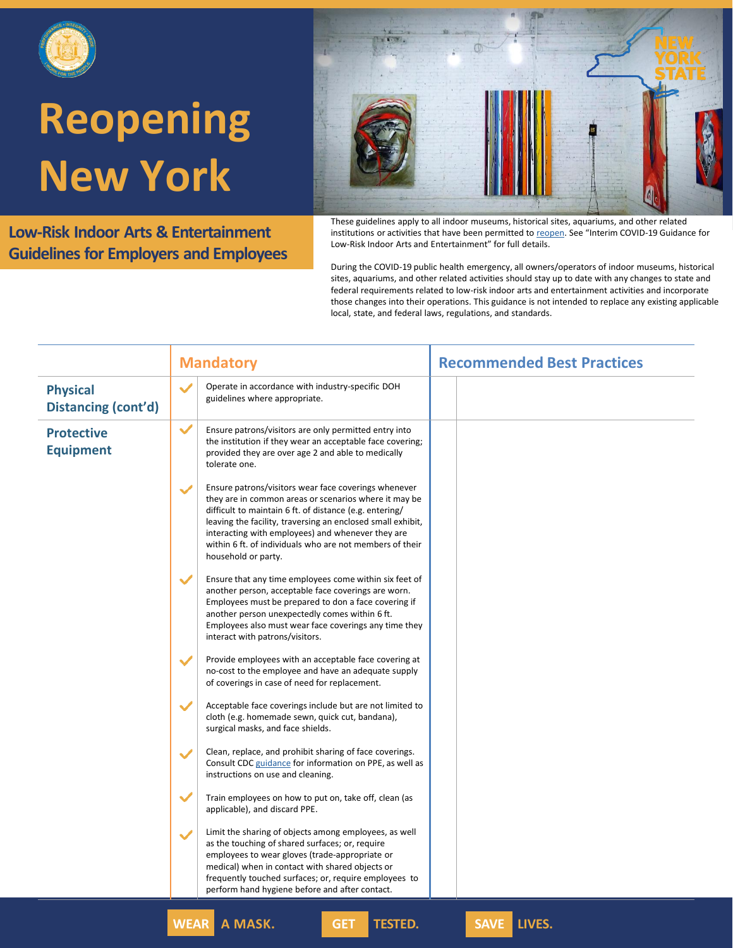

**Low-Risk Indoor Arts & Entertainment Guidelines for Employers and Employees**



These guidelines apply to all indoor museums, historical sites, aquariums, and other related institutions or activities that have been permitted to [reopen](https://forward.ny.gov/regional-monitoring-dashboard). See "Interim COVID-19 Guidance for Low-Risk Indoor Arts and Entertainment" for full details.

During the COVID-19 public health emergency, all owners/operators of indoor museums, historical sites, aquariums, and other related activities should stay up to date with any changes to state and federal requirements related to low-risk indoor arts and entertainment activities and incorporate those changes into their operations. This guidance is not intended to replace any existing applicable local, state, and federal laws, regulations, and standards.

|                                        | <b>Mandatory</b>                                                                                                                                                                                                                                                                                                                                                                                | <b>Recommended Best Practices</b> |
|----------------------------------------|-------------------------------------------------------------------------------------------------------------------------------------------------------------------------------------------------------------------------------------------------------------------------------------------------------------------------------------------------------------------------------------------------|-----------------------------------|
| <b>Physical</b><br>Distancing (cont'd) | $\checkmark$<br>Operate in accordance with industry-specific DOH<br>guidelines where appropriate.                                                                                                                                                                                                                                                                                               |                                   |
| <b>Protective</b><br><b>Equipment</b>  | $\checkmark$<br>Ensure patrons/visitors are only permitted entry into<br>the institution if they wear an acceptable face covering;<br>provided they are over age 2 and able to medically<br>tolerate one.                                                                                                                                                                                       |                                   |
|                                        | Ensure patrons/visitors wear face coverings whenever<br>$\checkmark$<br>they are in common areas or scenarios where it may be<br>difficult to maintain 6 ft. of distance (e.g. entering/<br>leaving the facility, traversing an enclosed small exhibit,<br>interacting with employees) and whenever they are<br>within 6 ft. of individuals who are not members of their<br>household or party. |                                   |
|                                        | Ensure that any time employees come within six feet of<br>$\checkmark$<br>another person, acceptable face coverings are worn.<br>Employees must be prepared to don a face covering if<br>another person unexpectedly comes within 6 ft.<br>Employees also must wear face coverings any time they<br>interact with patrons/visitors.                                                             |                                   |
|                                        | Provide employees with an acceptable face covering at<br>$\checkmark$<br>no-cost to the employee and have an adequate supply<br>of coverings in case of need for replacement.                                                                                                                                                                                                                   |                                   |
|                                        | Acceptable face coverings include but are not limited to<br>cloth (e.g. homemade sewn, quick cut, bandana),<br>surgical masks, and face shields.                                                                                                                                                                                                                                                |                                   |
|                                        | Clean, replace, and prohibit sharing of face coverings.<br>Consult CDC guidance for information on PPE, as well as<br>instructions on use and cleaning.                                                                                                                                                                                                                                         |                                   |
|                                        | $\checkmark$<br>Train employees on how to put on, take off, clean (as<br>applicable), and discard PPE.                                                                                                                                                                                                                                                                                          |                                   |
|                                        | Limit the sharing of objects among employees, as well<br>$\checkmark$<br>as the touching of shared surfaces; or, require<br>employees to wear gloves (trade-appropriate or<br>medical) when in contact with shared objects or<br>frequently touched surfaces; or, require employees to<br>perform hand hygiene before and after contact.                                                        |                                   |

**WEAR A MASK. GET TESTED. SAVE LIVES.**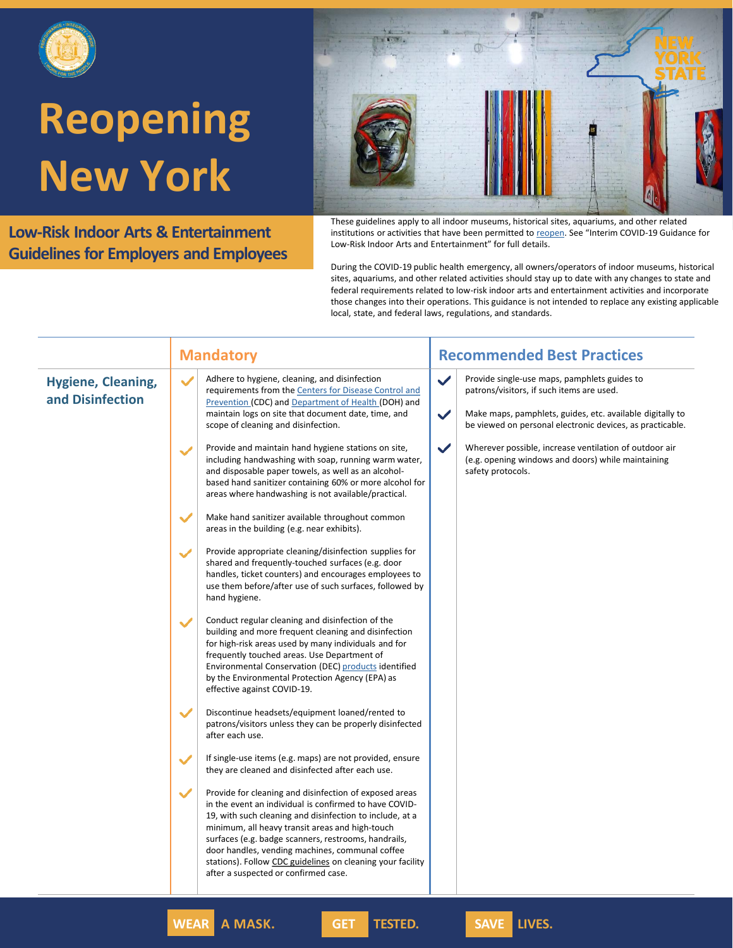

**Low-Risk Indoor Arts & Entertainment Guidelines for Employers and Employees**

These guidelines apply to all indoor museums, historical sites, aquariums, and other related institutions or activities that have been permitted to [reopen](https://forward.ny.gov/regional-monitoring-dashboard). See "Interim COVID-19 Guidance for Low-Risk Indoor Arts and Entertainment" for full details.

During the COVID-19 public health emergency, all owners/operators of indoor museums, historical sites, aquariums, and other related activities should stay up to date with any changes to state and federal requirements related to low-risk indoor arts and entertainment activities and incorporate those changes into their operations. This guidance is not intended to replace any existing applicable local, state, and federal laws, regulations, and standards.

|                                               | <b>Mandatory</b>                                                                                                                                                                                                                                                                                                                                                                                                                                                                                                                                                                                                                       | <b>Recommended Best Practices</b>                                                                                                                                                                                                                                                                                                                                                  |
|-----------------------------------------------|----------------------------------------------------------------------------------------------------------------------------------------------------------------------------------------------------------------------------------------------------------------------------------------------------------------------------------------------------------------------------------------------------------------------------------------------------------------------------------------------------------------------------------------------------------------------------------------------------------------------------------------|------------------------------------------------------------------------------------------------------------------------------------------------------------------------------------------------------------------------------------------------------------------------------------------------------------------------------------------------------------------------------------|
| <b>Hygiene, Cleaning,</b><br>and Disinfection | Adhere to hygiene, cleaning, and disinfection<br>$\checkmark$<br>requirements from the Centers for Disease Control and<br>Prevention (CDC) and Department of Health (DOH) and<br>maintain logs on site that document date, time, and<br>scope of cleaning and disinfection.<br>Provide and maintain hand hygiene stations on site,<br>$\checkmark$<br>including handwashing with soap, running warm water,<br>and disposable paper towels, as well as an alcohol-<br>based hand sanitizer containing 60% or more alcohol for<br>areas where handwashing is not available/practical.<br>Make hand sanitizer available throughout common | ✓<br>Provide single-use maps, pamphlets guides to<br>patrons/visitors, if such items are used.<br>$\checkmark$<br>Make maps, pamphlets, guides, etc. available digitally to<br>be viewed on personal electronic devices, as practicable.<br>✓<br>Wherever possible, increase ventilation of outdoor air<br>(e.g. opening windows and doors) while maintaining<br>safety protocols. |
|                                               | areas in the building (e.g. near exhibits).<br>Provide appropriate cleaning/disinfection supplies for<br>$\checkmark$<br>shared and frequently-touched surfaces (e.g. door<br>handles, ticket counters) and encourages employees to<br>use them before/after use of such surfaces, followed by<br>hand hygiene.                                                                                                                                                                                                                                                                                                                        |                                                                                                                                                                                                                                                                                                                                                                                    |
|                                               | Conduct regular cleaning and disinfection of the<br>$\checkmark$<br>building and more frequent cleaning and disinfection<br>for high-risk areas used by many individuals and for<br>frequently touched areas. Use Department of<br>Environmental Conservation (DEC) products identified<br>by the Environmental Protection Agency (EPA) as<br>effective against COVID-19.                                                                                                                                                                                                                                                              |                                                                                                                                                                                                                                                                                                                                                                                    |
|                                               | $\checkmark$<br>Discontinue headsets/equipment loaned/rented to<br>patrons/visitors unless they can be properly disinfected<br>after each use.                                                                                                                                                                                                                                                                                                                                                                                                                                                                                         |                                                                                                                                                                                                                                                                                                                                                                                    |
|                                               | If single-use items (e.g. maps) are not provided, ensure<br>$\checkmark$<br>they are cleaned and disinfected after each use.                                                                                                                                                                                                                                                                                                                                                                                                                                                                                                           |                                                                                                                                                                                                                                                                                                                                                                                    |
|                                               | Provide for cleaning and disinfection of exposed areas<br>$\checkmark$<br>in the event an individual is confirmed to have COVID-<br>19, with such cleaning and disinfection to include, at a<br>minimum, all heavy transit areas and high-touch<br>surfaces (e.g. badge scanners, restrooms, handrails,<br>door handles, vending machines, communal coffee<br>stations). Follow CDC guidelines on cleaning your facility<br>after a suspected or confirmed case.                                                                                                                                                                       |                                                                                                                                                                                                                                                                                                                                                                                    |